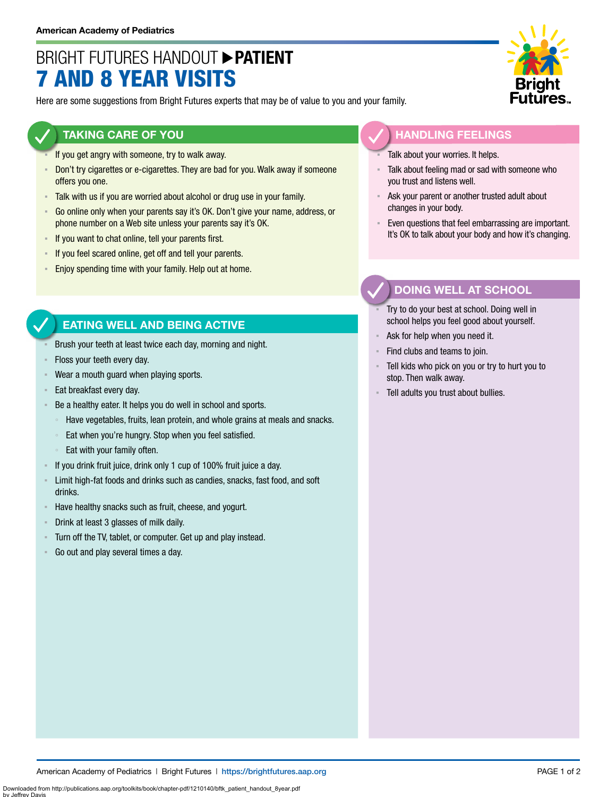# BRIGHT FUTURES HANDOUT **PATIENT** 7 AND 8 YEAR VISITS

Here are some suggestions from Bright Futures experts that may be of value to you and your family.

#### **TAKING CARE OF YOU**

- If you get angry with someone, try to walk away.
- **Don't try cigarettes or e-cigarettes. They are bad for you. Walk away if someone** offers you one.
- Talk with us if you are worried about alcohol or drug use in your family.
- Go online only when your parents say it's OK. Don't give your name, address, or phone number on a Web site unless your parents say it's OK.
- **EXECT** If you want to chat online, tell your parents first.
- If you feel scared online, get off and tell your parents.
- **Enjoy spending time with your family. Help out at home.**

### **EATING WELL AND BEING ACTIVE**

- Brush your teeth at least twice each day, morning and night.
- Floss your teeth every day.
- Wear a mouth guard when playing sports.
- Eat breakfast every day.
- Be a healthy eater. It helps you do well in school and sports.
	- Have vegetables, fruits, lean protein, and whole grains at meals and snacks.
	- Eat when you're hungry. Stop when you feel satisfied.
	- Eat with your family often.
- If you drink fruit juice, drink only 1 cup of 100% fruit juice a day.
- **EXECT** Limit high-fat foods and drinks such as candies, snacks, fast food, and soft drinks.
- Have healthy snacks such as fruit, cheese, and yogurt.
- Drink at least 3 glasses of milk daily.
- Turn off the TV, tablet, or computer. Get up and play instead.
- Go out and play several times a day.



#### **HANDLING FEELINGS**

- Talk about your worries. It helps.
- Talk about feeling mad or sad with someone who you trust and listens well.
- Ask your parent or another trusted adult about changes in your body.
- Even questions that feel embarrassing are important. It's OK to talk about your body and how it's changing.

## **DOING WELL AT SCHOOL**

- Try to do your best at school. Doing well in school helps you feel good about yourself.
- Ask for help when you need it.
- Find clubs and teams to join.
- Tell kids who pick on you or try to hurt you to stop. Then walk away.
- Tell adults you trust about bullies.

Downloaded from http://publications.aap.org/toolkits/book/chapter-pdf/1210140/bftk\_patient\_handout\_8year.pdf

by Jeffrey Davis